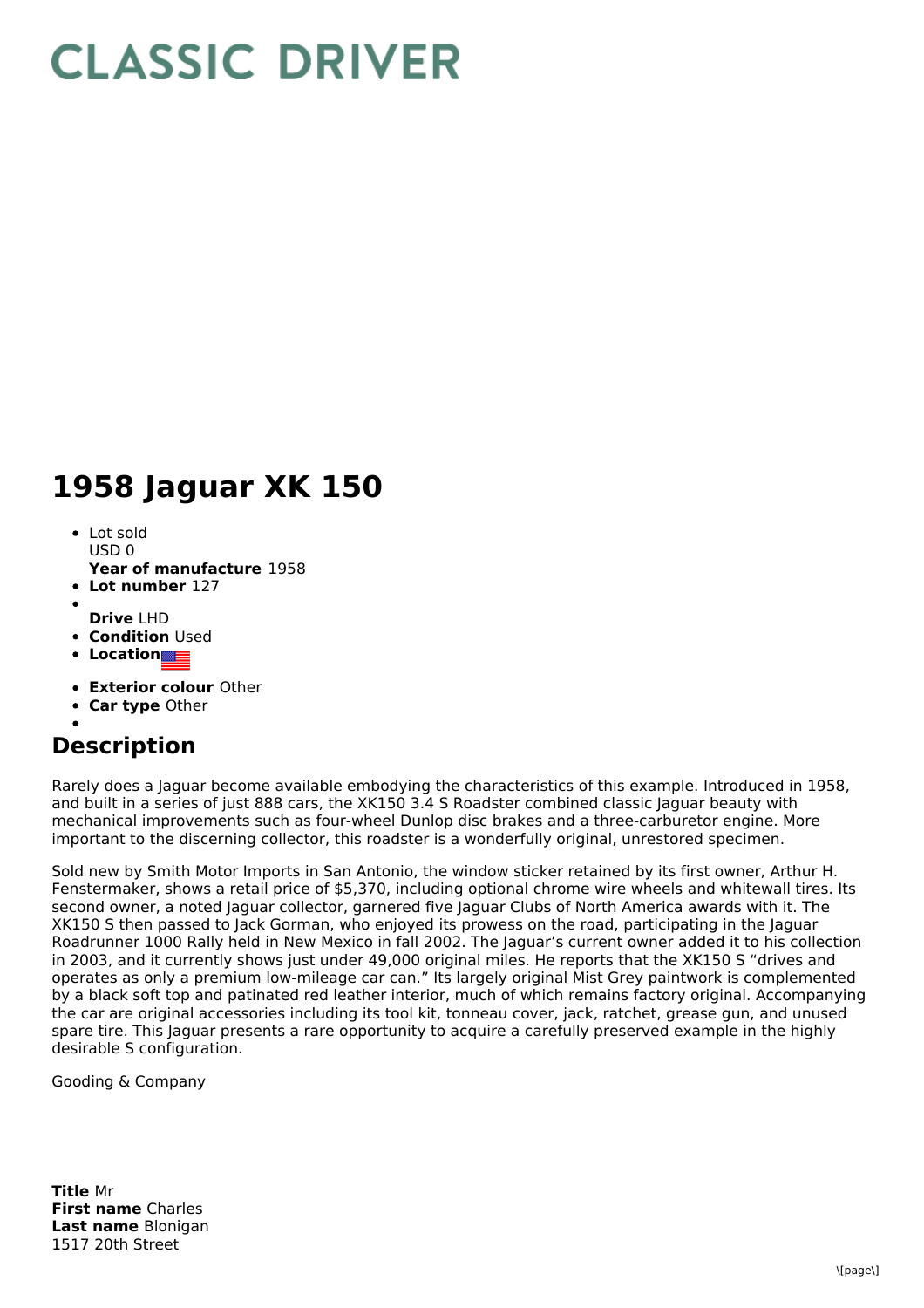## **CLASSIC DRIVER**

## **1958 Jaguar XK 150**

- Lot sold  $USD0$
- **Year of manufacture** 1958
- **Lot number** 127
- **Drive** LHD
- **Condition** Used
- **Location**
- **Exterior colour** Other
- $\bullet$ **Car type** Other
- 

## **Description**

Rarely does a Jaguar become available embodying the characteristics of this example. Introduced in 1958, and built in a series of just 888 cars, the XK150 3.4 S Roadster combined classic Jaguar beauty with mechanical improvements such as four-wheel Dunlop disc brakes and a three-carburetor engine. More important to the discerning collector, this roadster is a wonderfully original, unrestored specimen.

Sold new by Smith Motor Imports in San Antonio, the window sticker retained by its first owner, Arthur H. Fenstermaker, shows a retail price of \$5,370, including optional chrome wire wheels and whitewall tires. Its second owner, a noted Jaguar collector, garnered five Jaguar Clubs of North America awards with it. The XK150 S then passed to Jack Gorman, who enjoyed its prowess on the road, participating in the Jaguar Roadrunner 1000 Rally held in New Mexico in fall 2002. The Jaguar's current owner added it to his collection in 2003, and it currently shows just under 49,000 original miles. He reports that the XK150 S "drives and operates as only a premium low-mileage car can." Its largely original Mist Grey paintwork is complemented by a black soft top and patinated red leather interior, much of which remains factory original. Accompanying the car are original accessories including its tool kit, tonneau cover, jack, ratchet, grease gun, and unused spare tire. This Jaguar presents a rare opportunity to acquire a carefully preserved example in the highly desirable S configuration.

Gooding & Company

**Title** Mr **First name** Charles **Last name** Blonigan 1517 20th Street